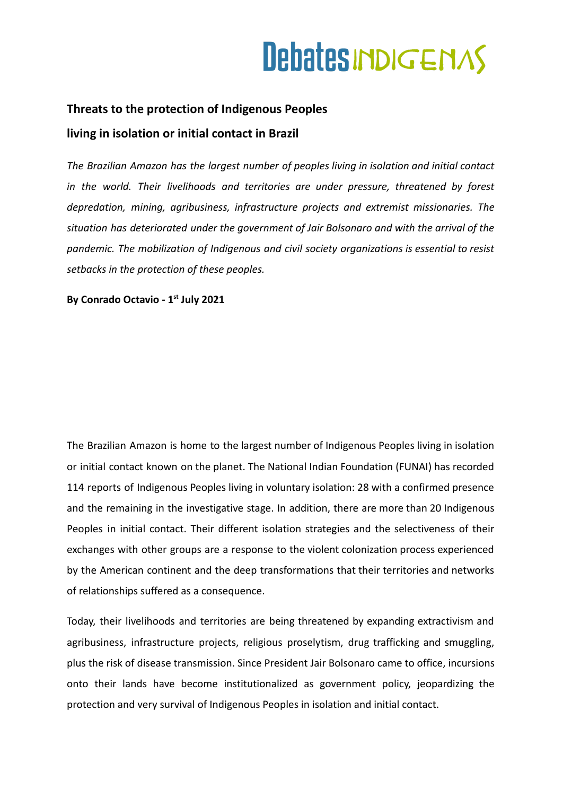### **Threats to the protection of Indigenous Peoples living in isolation or initial contact in Brazil**

*The Brazilian Amazon has the largest number of peoples living in isolation and initial contact in the world. Their livelihoods and territories are under pressure, threatened by forest depredation, mining, agribusiness, infrastructure projects and extremist missionaries. The situation has deteriorated under the government of Jair Bolsonaro and with the arrival of the pandemic. The mobilization of Indigenous and civil society organizations is essential to resist setbacks in the protection of these peoples.*

**By Conrado Octavio - 1st July 2021**

The Brazilian Amazon is home to the largest number of Indigenous Peoples living in isolation or initial contact known on the planet. The National Indian Foundation (FUNAI) has recorded 114 reports of Indigenous Peoples living in voluntary isolation: 28 with a confirmed presence and the remaining in the investigative stage. In addition, there are more than 20 Indigenous Peoples in initial contact. Their different isolation strategies and the selectiveness of their exchanges with other groups are a response to the violent colonization process experienced by the American continent and the deep transformations that their territories and networks of relationships suffered as a consequence.

Today, their livelihoods and territories are being threatened by expanding extractivism and agribusiness, infrastructure projects, religious proselytism, drug trafficking and smuggling, plus the risk of disease transmission. Since President Jair Bolsonaro came to office, incursions onto their lands have become institutionalized as government policy, jeopardizing the protection and very survival of Indigenous Peoples in isolation and initial contact.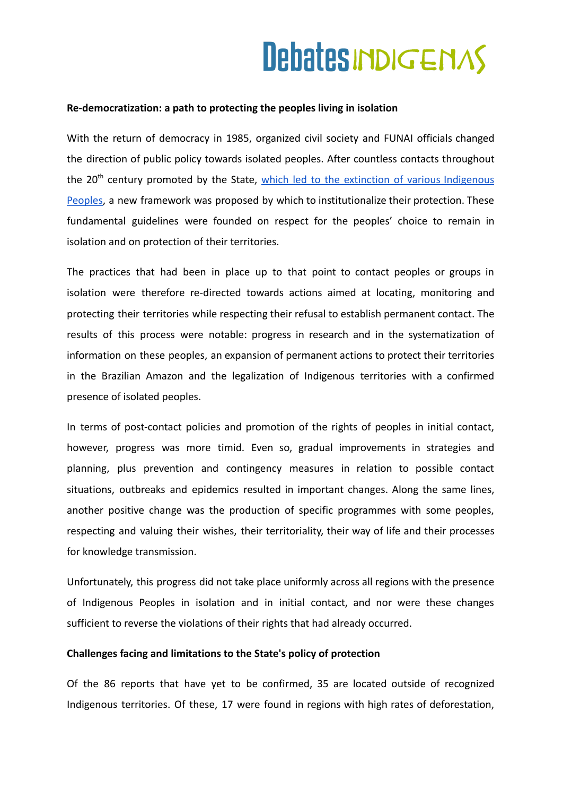#### **Re-democratization: a path to protecting the peoples living in isolation**

With the return of democracy in 1985, organized civil society and FUNAI officials changed the direction of public policy towards isolated peoples. After countless contacts throughout the 20<sup>th</sup> century promoted by the State, which led to the extinction of various [Indigenous](http://armazemmemoria.com.br/documento-que-registra-exterminio-de-indios-e-resgatado-apos-decadas-desaparecido/) [Peoples,](http://armazemmemoria.com.br/documento-que-registra-exterminio-de-indios-e-resgatado-apos-decadas-desaparecido/) a new framework was proposed by which to institutionalize their protection. These fundamental guidelines were founded on respect for the peoples' choice to remain in isolation and on protection of their territories.

The practices that had been in place up to that point to contact peoples or groups in isolation were therefore re-directed towards actions aimed at locating, monitoring and protecting their territories while respecting their refusal to establish permanent contact. The results of this process were notable: progress in research and in the systematization of information on these peoples, an expansion of permanent actions to protect their territories in the Brazilian Amazon and the legalization of Indigenous territories with a confirmed presence of isolated peoples.

In terms of post-contact policies and promotion of the rights of peoples in initial contact, however, progress was more timid. Even so, gradual improvements in strategies and planning, plus prevention and contingency measures in relation to possible contact situations, outbreaks and epidemics resulted in important changes. Along the same lines, another positive change was the production of specific programmes with some peoples, respecting and valuing their wishes, their territoriality, their way of life and their processes for knowledge transmission.

Unfortunately, this progress did not take place uniformly across all regions with the presence of Indigenous Peoples in isolation and in initial contact, and nor were these changes sufficient to reverse the violations of their rights that had already occurred.

#### **Challenges facing and limitations to the State's policy of protection**

Of the 86 reports that have yet to be confirmed, 35 are located outside of recognized Indigenous territories. Of these, 17 were found in regions with high rates of deforestation,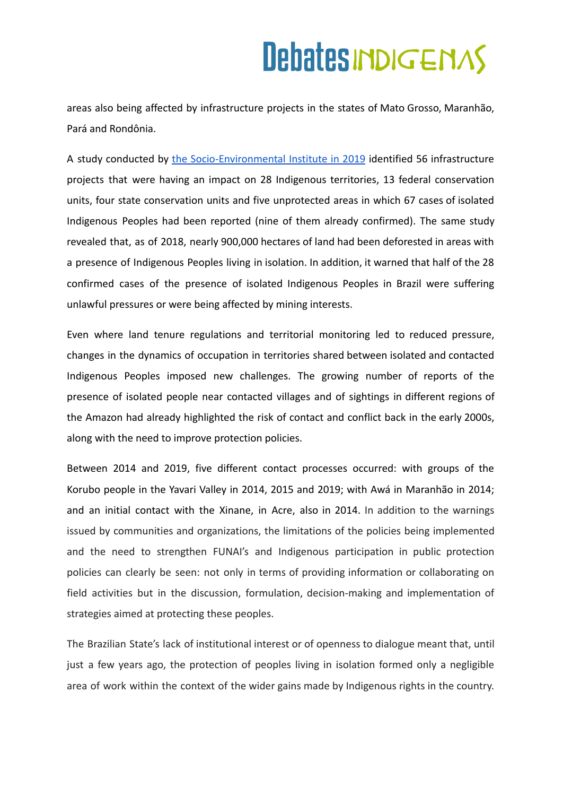areas also being affected by infrastructure projects in the states of Mato Grosso, Maranhão, Pará and Rondônia.

A study conducted by the [Socio-Environmental](https://acervo.socioambiental.org/acervo/publicacoes-isa/cercos-e-resistencias-povos-indigenas-isolados-na-amazonia-brasileira) Institute in 2019 identified 56 infrastructure projects that were having an impact on 28 Indigenous territories, 13 federal conservation units, four state conservation units and five unprotected areas in which 67 cases of isolated Indigenous Peoples had been reported (nine of them already confirmed). The same study revealed that, as of 2018, nearly 900,000 hectares of land had been deforested in areas with a presence of Indigenous Peoples living in isolation. In addition, it warned that half of the 28 confirmed cases of the presence of isolated Indigenous Peoples in Brazil were suffering unlawful pressures or were being affected by mining interests.

Even where land tenure regulations and territorial monitoring led to reduced pressure, changes in the dynamics of occupation in territories shared between isolated and contacted Indigenous Peoples imposed new challenges. The growing number of reports of the presence of isolated people near contacted villages and of sightings in different regions of the Amazon had already highlighted the risk of contact and conflict back in the early 2000s, along with the need to improve protection policies.

Between 2014 and 2019, five different contact processes occurred: with groups of the Korubo people in the Yavari Valley in 2014, 2015 and 2019; with Awá in Maranhão in 2014; and an initial contact with the Xinane, in Acre, also in 2014. In addition to the warnings issued by communities and organizations, the limitations of the policies being implemented and the need to strengthen FUNAI's and Indigenous participation in public protection policies can clearly be seen: not only in terms of providing information or collaborating on field activities but in the discussion, formulation, decision-making and implementation of strategies aimed at protecting these peoples.

The Brazilian State's lack of institutional interest or of openness to dialogue meant that, until just a few years ago, the protection of peoples living in isolation formed only a negligible area of work within the context of the wider gains made by Indigenous rights in the country.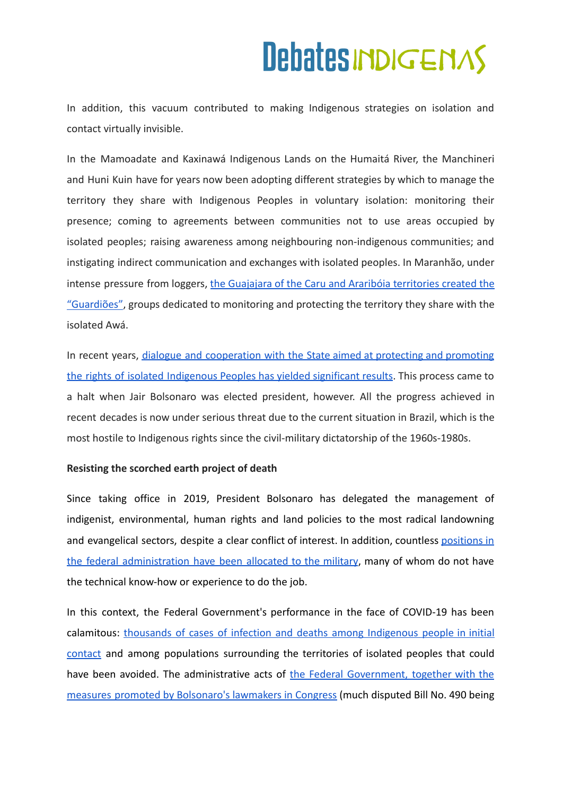In addition, this vacuum contributed to making Indigenous strategies on isolation and contact virtually invisible.

In the Mamoadate and Kaxinawá Indigenous Lands on the Humaitá River, the Manchineri and Huni Kuin have for years now been adopting different strategies by which to manage the territory they share with Indigenous Peoples in voluntary isolation: monitoring their presence; coming to agreements between communities not to use areas occupied by isolated peoples; raising awareness among neighbouring non-indigenous communities; and instigating indirect communication and exchanges with isolated peoples. In Maranhão, under intense pressure from loggers, the Guajajara of the Caru and Araribóia [territories](https://brasil.mongabay.com/2019/10/documentario-mostra-indigenas-isolados-awa-em-risco-na-amazonia/) created the ["Guardiões"](https://brasil.mongabay.com/2019/10/documentario-mostra-indigenas-isolados-awa-em-risco-na-amazonia/), groups dedicated to monitoring and protecting the territory they share with the isolated Awá.

In recent years, dialogue and [cooperation](https://trabalhoindigenista.org.br/wp-content/uploads/2021/03/CTI-Protecao_e_Isolamento-impressa-1.pdf) with the State aimed at protecting and promoting the rights of isolated [Indigenous](https://trabalhoindigenista.org.br/wp-content/uploads/2021/03/CTI-Protecao_e_Isolamento-impressa-1.pdf) Peoples has yielded significant results. This process came to a halt when Jair Bolsonaro was elected president, however. All the progress achieved in recent decades is now under serious threat due to the current situation in Brazil, which is the most hostile to Indigenous rights since the civil-military dictatorship of the 1960s-1980s.

### **Resisting the scorched earth project of death**

Since taking office in 2019, President Bolsonaro has delegated the management of indigenist, environmental, human rights and land policies to the most radical landowning and evangelical sectors, despite a clear conflict of interest. In addition, countless [positions](https://www.brasildefato.com.br/2021/02/19/militares-ja-ocupam-quase-60-das-coordenacoes-regionais-da-funai-na-amazonia-legal) in the federal [administration](https://www.brasildefato.com.br/2021/02/19/militares-ja-ocupam-quase-60-das-coordenacoes-regionais-da-funai-na-amazonia-legal) have been allocated to the military, many of whom do not have the technical know-how or experience to do the job.

In this context, the Federal Government's performance in the face of COVID-19 has been calamitous: thousands of cases of infection and deaths among [Indigenous](https://coiab.org.br/conteudo/a-devastadora-e-irrepar%C3%A1vel-morte-de-aruk%C3%A1-juma--1613590804505x760394878447255600) people in initial [contact](https://coiab.org.br/conteudo/a-devastadora-e-irrepar%C3%A1vel-morte-de-aruk%C3%A1-juma--1613590804505x760394878447255600) and among populations surrounding the territories of isolated peoples that could have been avoided. The administrative acts of the Federal [Government,](https://povosisolados.com/2021/05/25/coiab-e-opi-denunciam-pl-490/) together with the measures promoted by [Bolsonaro's](https://povosisolados.com/2021/05/25/coiab-e-opi-denunciam-pl-490/) lawmakers in Congress (much disputed Bill No. 490 being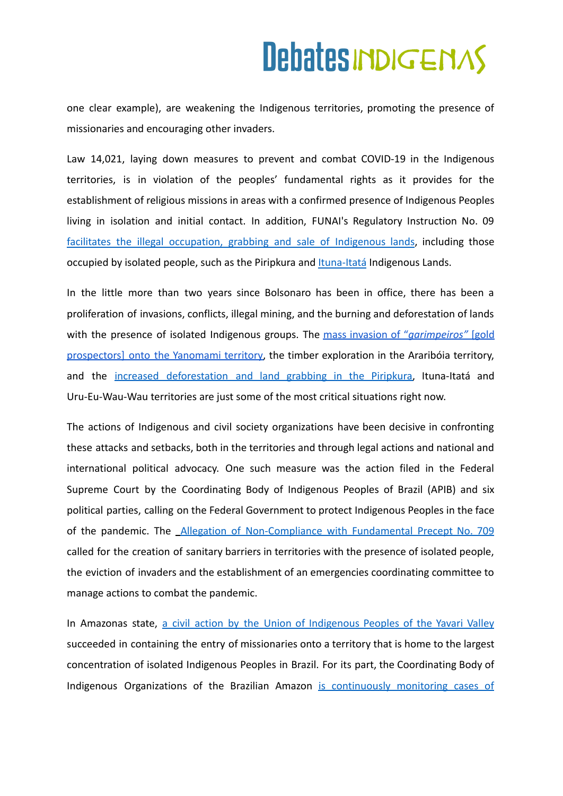one clear example), are weakening the Indigenous territories, promoting the presence of missionaries and encouraging other invaders.

Law 14,021, laying down measures to prevent and combat COVID-19 in the Indigenous territories, is in violation of the peoples' fundamental rights as it provides for the establishment of religious missions in areas with a confirmed presence of Indigenous Peoples living in isolation and initial contact. In addition, FUNAI's Regulatory Instruction No. 0[9](https://indigenistasassociados.org.br/2020/04/27/nota-tecnica-a-instrucao-normativa-da-funai-no-09-2020-e-a-gestao-de-interesses-em-torno-da-posse-de-terras-publicas/) facilitates the illegal [occupation,](https://indigenistasassociados.org.br/2020/04/27/nota-tecnica-a-instrucao-normativa-da-funai-no-09-2020-e-a-gestao-de-interesses-em-torno-da-posse-de-terras-publicas/) grabbing and sale of Indigenous lands, including those occupied by isolated people, such as the Piripkura and Ituna-Itatá [Indigenous Lands](https://www.greenpeace.org/brasil/ituna-itata-uma-terra-indigena-da-amazonia-tomada-por-ganancia-e-destruicao/).

In the little more than two years since Bolsonaro has been in office, there has been a proliferation of invasions, conflicts, illegal mining, and the burning and deforestation of lands with the presence of isolated Indigenous groups. The mass invasion of "*[garimpeiros"](https://www.socioambiental.org/pt-br/noticias-socioambientais/cicatrizes-na-floresta-garimpo-avancou-30-na-terra-indigena-yanomami-em-2020)* [gold [prospectors\]](https://www.socioambiental.org/pt-br/noticias-socioambientais/cicatrizes-na-floresta-garimpo-avancou-30-na-terra-indigena-yanomami-em-2020) onto the Yanomami territory, the timber exploration in the Araribóia territory, and the increased [deforestation](https://www.socioambiental.org/pt-br/noticias-socioambientais/desmatamento-avanca-no-territorio-dos-ultimos-indigenas-piripkura) and land grabbing in the Piripkura, Ituna-Itatá and Uru-Eu-Wau-Wau territories are just some of the most critical situations right now.

The actions of Indigenous and civil society organizations have been decisive in confronting these attacks and setbacks, both in the territories and through legal actions and national and international political advocacy. One such measure was the action filed in the Federal Supreme Court by the Coordinating Body of Indigenous Peoples of Brazil (APIB) and six political parties, calling on the Federal Government to protect Indigenous Peoples in the face of the pandemic. The *Allegation of [Non-Compliance](https://apiboficial.org/2020/08/01/adpf-709-no-supremo-povos-indigenas-e-o-direito-de-existir/) with Fundamental Precept No. 709* called for the creation of sanitary barriers in territories with the presence of isolated people, the eviction of invaders and the establishment of an emergencies coordinating committee to manage actions to combat the pandemic.

In Amazonas state, a civil action by the Union of [Indigenous](https://www.brasildefato.com.br/2020/04/17/em-decisao-inedita-justica-proibe-entrada-de-religiosos-em-terras-indigenas-no-am) Peoples of the Yavari Valley succeeded in containing the entry of missionaries onto a territory that is home to the largest concentration of isolated Indigenous Peoples in Brazil. For its part, the Coordinating Body of Indigenous Organizations of the Brazilian Amazon is [continuously](https://coiab.org.br/covid) monitoring cases of